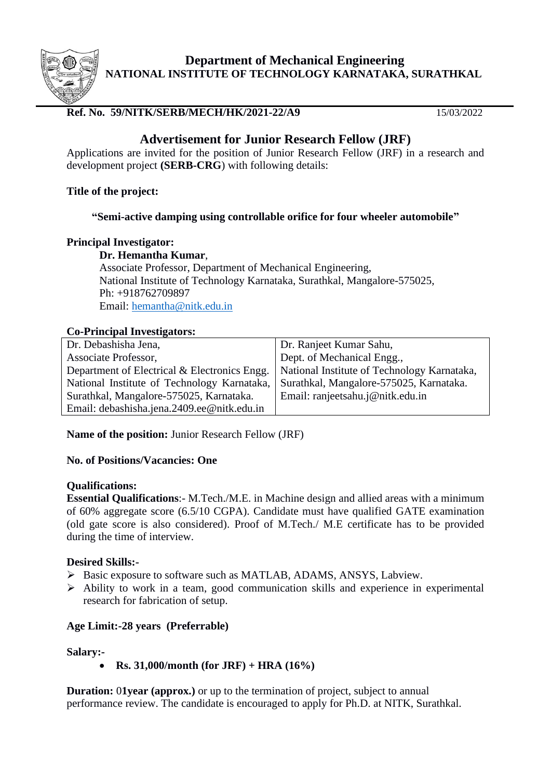

**Department of Mechanical Engineering NATIONAL INSTITUTE OF TECHNOLOGY KARNATAKA, SURATHKAL**

## **Ref. No. 59/NITK/SERB/MECH/HK/2021-22/A9** 15/03/2022

# **Advertisement for Junior Research Fellow (JRF)**

Applications are invited for the position of Junior Research Fellow (JRF) in a research and development project **(SERB-CRG**) with following details:

#### **Title of the project:**

## **"Semi-active damping using controllable orifice for four wheeler automobile"**

#### **Principal Investigator:**

**Dr. Hemantha Kumar**, Associate Professor, Department of Mechanical Engineering, National Institute of Technology Karnataka, Surathkal, Mangalore-575025, Ph: +918762709897 Email: [hemantha@nitk.edu.in](mailto:hemantha@nitk.edu.in)

## **Co-Principal Investigators:**

| Dr. Debashisha Jena,                         | Dr. Ranjeet Kumar Sahu,                     |
|----------------------------------------------|---------------------------------------------|
| Associate Professor,                         | Dept. of Mechanical Engg.,                  |
| Department of Electrical & Electronics Engg. | National Institute of Technology Karnataka, |
| National Institute of Technology Karnataka,  | Surathkal, Mangalore-575025, Karnataka.     |
| Surathkal, Mangalore-575025, Karnataka.      | Email: ranjeetsahu.j@nitk.edu.in            |
| Email: debashisha.jena.2409.ee@nitk.edu.in   |                                             |
|                                              |                                             |

**Name of the position:** Junior Research Fellow (JRF)

#### **No. of Positions/Vacancies: One**

#### **Qualifications:**

**Essential Qualifications**:- M.Tech./M.E. in Machine design and allied areas with a minimum of 60% aggregate score (6.5/10 CGPA). Candidate must have qualified GATE examination (old gate score is also considered). Proof of M.Tech./ M.E certificate has to be provided during the time of interview.

#### **Desired Skills:-**

- ➢ Basic exposure to software such as MATLAB, ADAMS, ANSYS, Labview.
- ➢ Ability to work in a team, good communication skills and experience in experimental research for fabrication of setup.

## **Age Limit:-28 years (Preferrable)**

#### **Salary:-**

• **Rs. 31,000/month (for JRF) + HRA (16%)**

**Duration:** 01year (approx.) or up to the termination of project, subject to annual performance review. The candidate is encouraged to apply for Ph.D. at NITK, Surathkal.